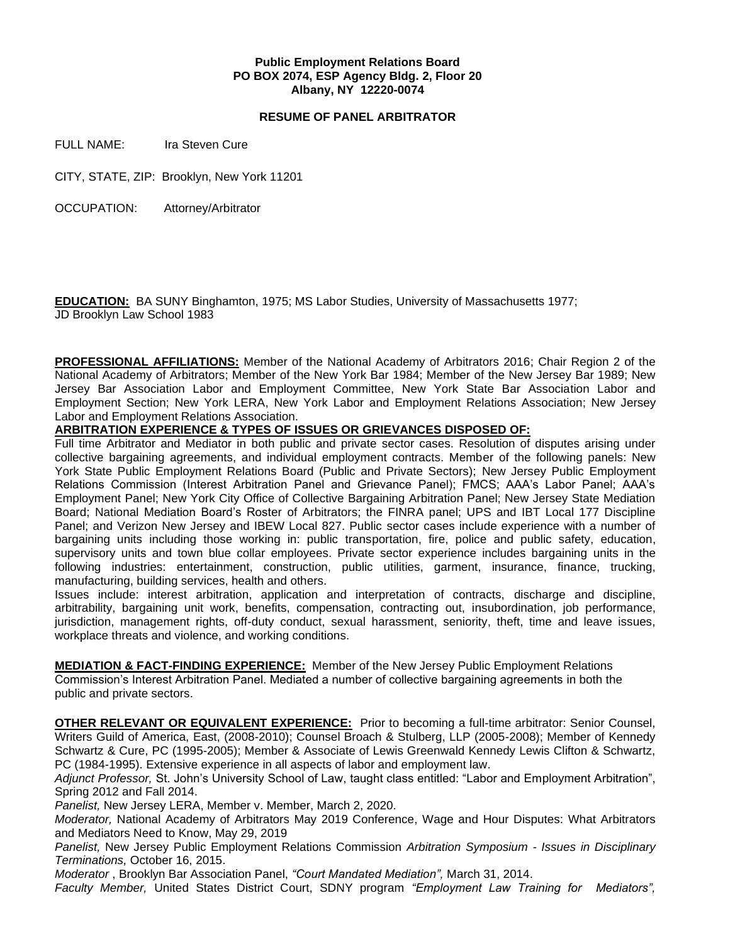## **Public Employment Relations Board PO BOX 2074, ESP Agency Bldg. 2, Floor 20 Albany, NY 12220-0074**

## **RESUME OF PANEL ARBITRATOR**

FULL NAME: Ira Steven Cure

CITY, STATE, ZIP: Brooklyn, New York 11201

OCCUPATION: Attorney/Arbitrator

**EDUCATION:** BA SUNY Binghamton, 1975; MS Labor Studies, University of Massachusetts 1977; JD Brooklyn Law School 1983

**PROFESSIONAL AFFILIATIONS:** Member of the National Academy of Arbitrators 2016; Chair Region 2 of the National Academy of Arbitrators; Member of the New York Bar 1984; Member of the New Jersey Bar 1989; New Jersey Bar Association Labor and Employment Committee, New York State Bar Association Labor and Employment Section; New York LERA, New York Labor and Employment Relations Association; New Jersey Labor and Employment Relations Association.

**ARBITRATION EXPERIENCE & TYPES OF ISSUES OR GRIEVANCES DISPOSED OF:** 

Full time Arbitrator and Mediator in both public and private sector cases. Resolution of disputes arising under collective bargaining agreements, and individual employment contracts. Member of the following panels: New York State Public Employment Relations Board (Public and Private Sectors); New Jersey Public Employment Relations Commission (Interest Arbitration Panel and Grievance Panel); FMCS; AAA's Labor Panel; AAA's Employment Panel; New York City Office of Collective Bargaining Arbitration Panel; New Jersey State Mediation Board; National Mediation Board's Roster of Arbitrators; the FINRA panel; UPS and IBT Local 177 Discipline Panel; and Verizon New Jersey and IBEW Local 827. Public sector cases include experience with a number of bargaining units including those working in: public transportation, fire, police and public safety, education, supervisory units and town blue collar employees. Private sector experience includes bargaining units in the following industries: entertainment, construction, public utilities, garment, insurance, finance, trucking, manufacturing, building services, health and others.

Issues include: interest arbitration, application and interpretation of contracts, discharge and discipline, arbitrability, bargaining unit work, benefits, compensation, contracting out, insubordination, job performance, jurisdiction, management rights, off-duty conduct, sexual harassment, seniority, theft, time and leave issues, workplace threats and violence, and working conditions.

**MEDIATION & FACT-FINDING EXPERIENCE:** Member of the New Jersey Public Employment Relations

Commission's Interest Arbitration Panel. Mediated a number of collective bargaining agreements in both the public and private sectors.

**OTHER RELEVANT OR EQUIVALENT EXPERIENCE:** Prior to becoming a full-time arbitrator: Senior Counsel, Writers Guild of America, East, (2008-2010); Counsel Broach & Stulberg, LLP (2005-2008); Member of Kennedy Schwartz & Cure, PC (1995-2005); Member & Associate of Lewis Greenwald Kennedy Lewis Clifton & Schwartz, PC (1984-1995). Extensive experience in all aspects of labor and employment law.

*Adjunct Professor,* St. John's University School of Law, taught class entitled: "Labor and Employment Arbitration", Spring 2012 and Fall 2014.

*Panelist,* New Jersey LERA, Member v. Member, March 2, 2020.

*Moderator,* National Academy of Arbitrators May 2019 Conference, Wage and Hour Disputes: What Arbitrators and Mediators Need to Know, May 29, 2019

*Panelist,* New Jersey Public Employment Relations Commission *Arbitration Symposium - Issues in Disciplinary Terminations,* October 16, 2015.

*Moderator* , Brooklyn Bar Association Panel, *"Court Mandated Mediation",* March 31, 2014.

*Faculty Member,* United States District Court, SDNY program *"Employment Law Training for Mediators",*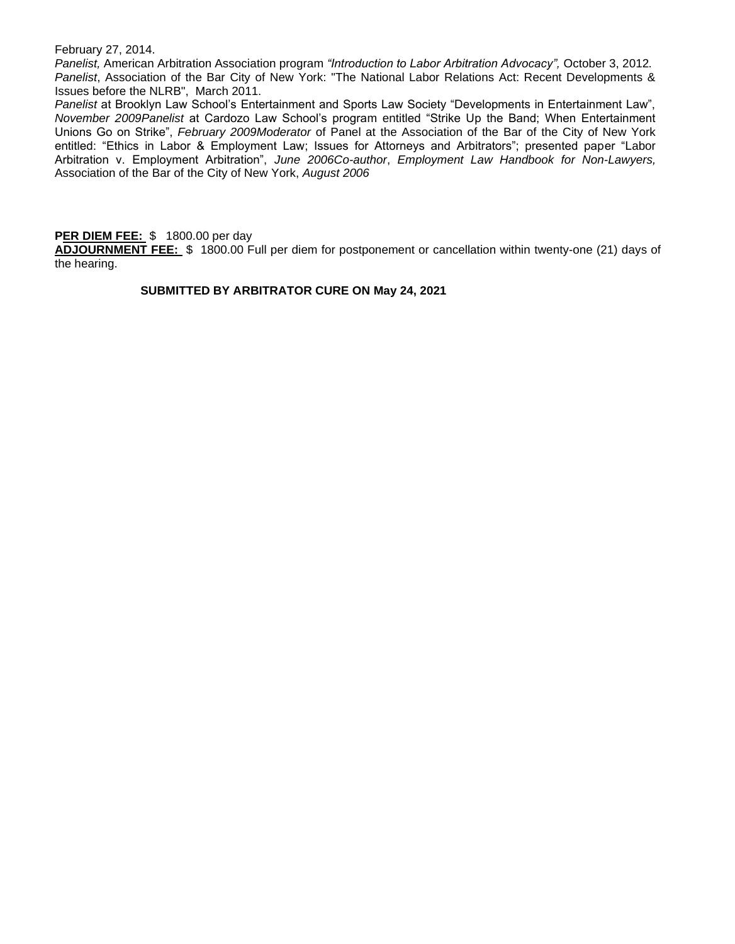February 27, 2014.

*Panelist,* American Arbitration Association program *"Introduction to Labor Arbitration Advocacy",* October 3, 2012*. Panelist*, Association of the Bar City of New York: "The National Labor Relations Act: Recent Developments & Issues before the NLRB", March 2011.

*Panelist* at Brooklyn Law School's Entertainment and Sports Law Society "Developments in Entertainment Law", *November 2009Panelist* at Cardozo Law School's program entitled "Strike Up the Band; When Entertainment Unions Go on Strike", *February 2009Moderator* of Panel at the Association of the Bar of the City of New York entitled: "Ethics in Labor & Employment Law; Issues for Attorneys and Arbitrators"; presented paper "Labor Arbitration v. Employment Arbitration", *June 2006Co-author*, *Employment Law Handbook for Non-Lawyers,*  Association of the Bar of the City of New York, *August 2006*

#### **PER DIEM FEE:** \$ 1800.00 per day

**ADJOURNMENT FEE:** \$ 1800.00 Full per diem for postponement or cancellation within twenty-one (21) days of the hearing.

# **SUBMITTED BY ARBITRATOR CURE ON May 24, 2021**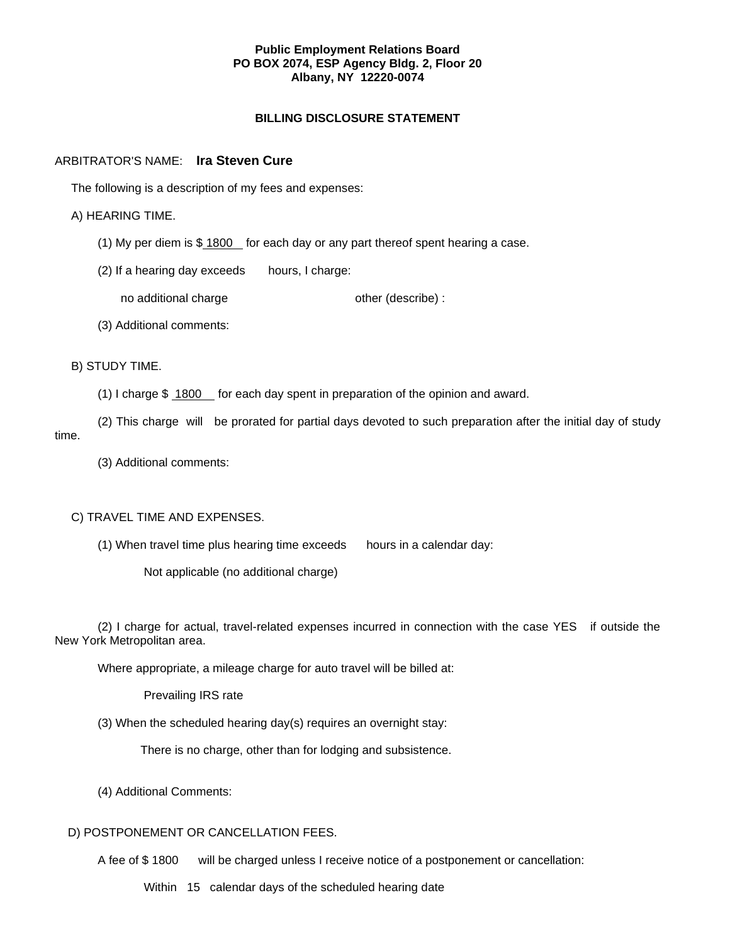#### **Public Employment Relations Board PO BOX 2074, ESP Agency Bldg. 2, Floor 20 Albany, NY 12220-0074**

## **BILLING DISCLOSURE STATEMENT**

## ARBITRATOR'S NAME: **Ira Steven Cure**

The following is a description of my fees and expenses:

## A) HEARING TIME.

(1) My per diem is  $$1800$  for each day or any part thereof spent hearing a case.

(2) If a hearing day exceeds hours, I charge:

no additional charge other (describe) :

(3) Additional comments:

## B) STUDY TIME.

(1) I charge \$ 1800 for each day spent in preparation of the opinion and award.

(2) This charge will be prorated for partial days devoted to such preparation after the initial day of study time.

(3) Additional comments:

# C) TRAVEL TIME AND EXPENSES.

(1) When travel time plus hearing time exceeds hours in a calendar day:

Not applicable (no additional charge)

(2) I charge for actual, travel-related expenses incurred in connection with the case YES if outside the New York Metropolitan area.

Where appropriate, a mileage charge for auto travel will be billed at:

Prevailing IRS rate

(3) When the scheduled hearing day(s) requires an overnight stay:

There is no charge, other than for lodging and subsistence.

(4) Additional Comments:

# D) POSTPONEMENT OR CANCELLATION FEES.

A fee of \$ 1800 will be charged unless I receive notice of a postponement or cancellation:

Within 15 calendar days of the scheduled hearing date